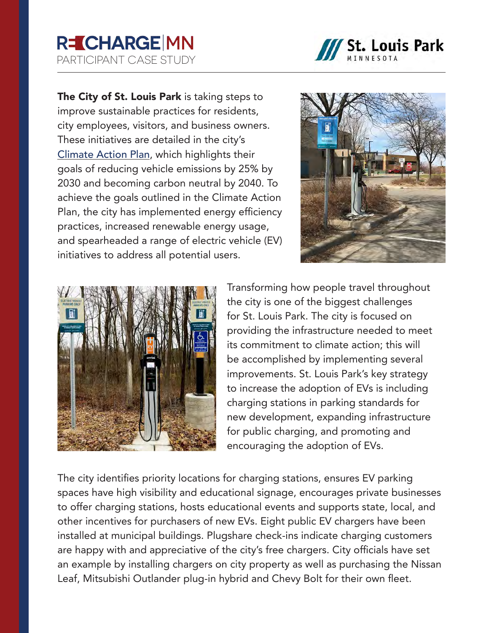## **R=CHARGE MN** PARTICIPANT CASE STUDY



The City of St. Louis Park is taking steps to improve sustainable practices for residents, city employees, visitors, and business owners. These initiatives are detailed in the city's [Climate Action Plan](https://www.stlouispark.org/our-city/climate-action-plan), which highlights their goals of reducing vehicle emissions by 25% by 2030 and becoming carbon neutral by 2040. To achieve the goals outlined in the Climate Action Plan, the city has implemented energy efficiency practices, increased renewable energy usage, and spearheaded a range of electric vehicle (EV) initiatives to address all potential users.





Transforming how people travel throughout the city is one of the biggest challenges for St. Louis Park. The city is focused on providing the infrastructure needed to meet its commitment to climate action; this will be accomplished by implementing several improvements. St. Louis Park's key strategy to increase the adoption of EVs is including charging stations in parking standards for new development, expanding infrastructure for public charging, and promoting and encouraging the adoption of EVs.

The city identifies priority locations for charging stations, ensures EV parking spaces have high visibility and educational signage, encourages private businesses to offer charging stations, hosts educational events and supports state, local, and other incentives for purchasers of new EVs. Eight public EV chargers have been installed at municipal buildings. Plugshare check-ins indicate charging customers are happy with and appreciative of the city's free chargers. City officials have set an example by installing chargers on city property as well as purchasing the Nissan Leaf, Mitsubishi Outlander plug-in hybrid and Chevy Bolt for their own fleet.